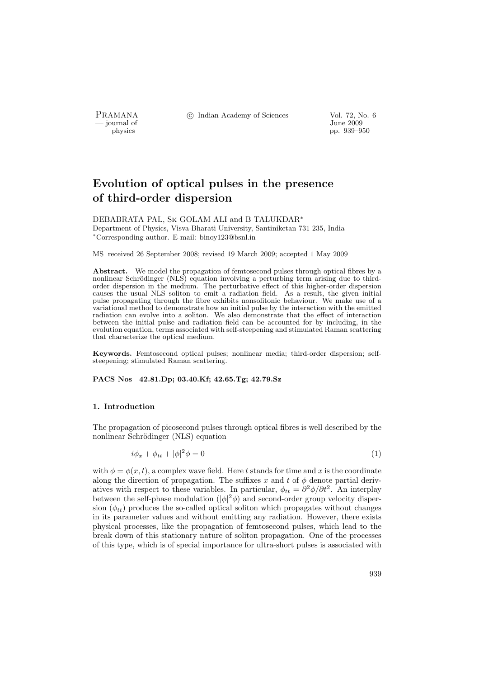- journal of<br>physics

PRAMANA <sup>C</sup> Indian Academy of Sciences Vol. 72, No. 6<br>
inne 2009

physics pp. 939–950

# Evolution of optical pulses in the presence of third-order dispersion

DEBABRATA PAL, Sk GOLAM ALI and B TALUKDAR<sup>∗</sup> Department of Physics, Visva-Bharati University, Santiniketan 731 235, India <sup>∗</sup>Corresponding author. E-mail: binoy123@bsnl.in

MS received 26 September 2008; revised 19 March 2009; accepted 1 May 2009

Abstract. We model the propagation of femtosecond pulses through optical fibres by a nonlinear Schrödinger (NLS) equation involving a perturbing term arising due to thirdorder dispersion in the medium. The perturbative effect of this higher-order dispersion causes the usual NLS soliton to emit a radiation field. As a result, the given initial pulse propagating through the fibre exhibits nonsolitonic behaviour. We make use of a variational method to demonstrate how an initial pulse by the interaction with the emitted radiation can evolve into a soliton. We also demonstrate that the effect of interaction between the initial pulse and radiation field can be accounted for by including, in the evolution equation, terms associated with self-steepening and stimulated Raman scattering that characterize the optical medium.

Keywords. Femtosecond optical pulses; nonlinear media; third-order dispersion; selfsteepening; stimulated Raman scattering.

PACS Nos 42.81.Dp; 03.40.Kf; 42.65.Tg; 42.79.Sz

### 1. Introduction

The propagation of picosecond pulses through optical fibres is well described by the nonlinear Schrödinger (NLS) equation

$$
i\phi_x + \phi_{tt} + |\phi|^2 \phi = 0 \tag{1}
$$

with  $\phi = \phi(x, t)$ , a complex wave field. Here t stands for time and x is the coordinate along the direction of propagation. The suffixes x and t of  $\phi$  denote partial derivatives with respect to these variables. In particular,  $\phi_{tt} = \frac{\partial^2 \phi}{\partial t^2}$ . An interplay between the self-phase modulation  $(|\phi|^2 \phi)$  and second-order group velocity dispersion  $(\phi_{tt})$  produces the so-called optical soliton which propagates without changes in its parameter values and without emitting any radiation. However, there exists physical processes, like the propagation of femtosecond pulses, which lead to the break down of this stationary nature of soliton propagation. One of the processes of this type, which is of special importance for ultra-short pulses is associated with

939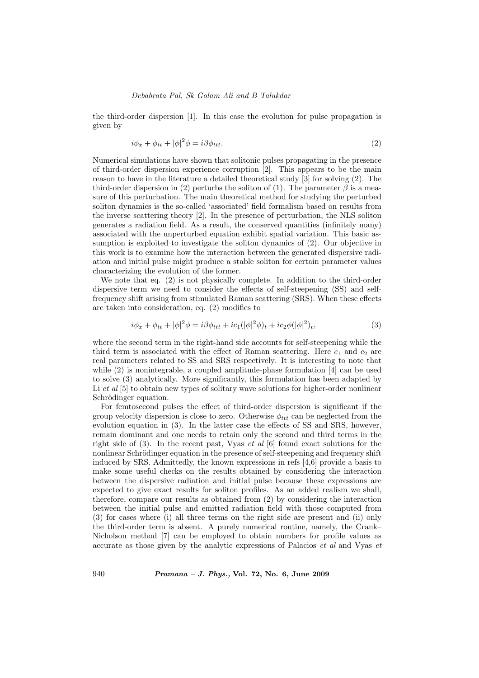the third-order dispersion [1]. In this case the evolution for pulse propagation is given by

$$
i\phi_x + \phi_{tt} + |\phi|^2 \phi = i\beta \phi_{ttt}.
$$
\n(2)

Numerical simulations have shown that solitonic pulses propagating in the presence of third-order dispersion experience corruption [2]. This appears to be the main reason to have in the literature a detailed theoretical study [3] for solving (2). The third-order dispersion in (2) perturbs the soliton of (1). The parameter  $\beta$  is a measure of this perturbation. The main theoretical method for studying the perturbed soliton dynamics is the so-called 'associated' field formalism based on results from the inverse scattering theory [2]. In the presence of perturbation, the NLS soliton generates a radiation field. As a result, the conserved quantities (infinitely many) associated with the unperturbed equation exhibit spatial variation. This basic assumption is exploited to investigate the soliton dynamics of (2). Our objective in this work is to examine how the interaction between the generated dispersive radiation and initial pulse might produce a stable soliton for certain parameter values characterizing the evolution of the former.

We note that eq. (2) is not physically complete. In addition to the third-order dispersive term we need to consider the effects of self-steepening (SS) and selffrequency shift arising from stimulated Raman scattering (SRS). When these effects are taken into consideration, eq. (2) modifies to

$$
i\phi_x + \phi_{tt} + |\phi|^2 \phi = i\beta \phi_{ttt} + ic_1(|\phi|^2 \phi)_t + ic_2 \phi(|\phi|^2)_t,
$$
\n(3)

where the second term in the right-hand side accounts for self-steepening while the third term is associated with the effect of Raman scattering. Here  $c_1$  and  $c_2$  are real parameters related to SS and SRS respectively. It is interesting to note that while (2) is nonintegrable, a coupled amplitude-phase formulation [4] can be used to solve (3) analytically. More significantly, this formulation has been adapted by Li et al  $[5]$  to obtain new types of solitary wave solutions for higher-order nonlinear Schrödinger equation.

For femtosecond pulses the effect of third-order dispersion is significant if the group velocity dispersion is close to zero. Otherwise  $\phi_{ttt}$  can be neglected from the evolution equation in (3). In the latter case the effects of SS and SRS, however, remain dominant and one needs to retain only the second and third terms in the right side of  $(3)$ . In the recent past, Vyas et al  $[6]$  found exact solutions for the nonlinear Schrödinger equation in the presence of self-steepening and frequency shift induced by SRS. Admittedly, the known expressions in refs [4,6] provide a basis to make some useful checks on the results obtained by considering the interaction between the dispersive radiation and initial pulse because these expressions are expected to give exact results for soliton profiles. As an added realism we shall, therefore, compare our results as obtained from (2) by considering the interaction between the initial pulse and emitted radiation field with those computed from (3) for cases where (i) all three terms on the right side are present and (ii) only the third-order term is absent. A purely numerical routine, namely, the Crank– Nicholson method [7] can be employed to obtain numbers for profile values as accurate as those given by the analytic expressions of Palacios et al and Vyas et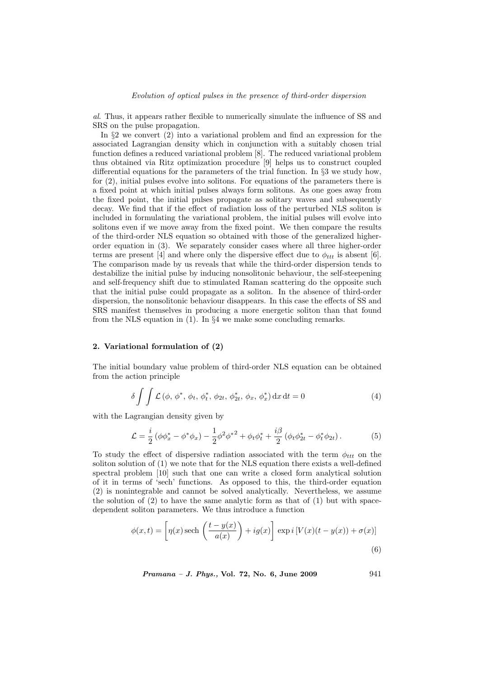al. Thus, it appears rather flexible to numerically simulate the influence of SS and SRS on the pulse propagation.

In §2 we convert (2) into a variational problem and find an expression for the associated Lagrangian density which in conjunction with a suitably chosen trial function defines a reduced variational problem [8]. The reduced variational problem thus obtained via Ritz optimization procedure [9] helps us to construct coupled differential equations for the parameters of the trial function. In §3 we study how, for (2), initial pulses evolve into solitons. For equations of the parameters there is a fixed point at which initial pulses always form solitons. As one goes away from the fixed point, the initial pulses propagate as solitary waves and subsequently decay. We find that if the effect of radiation loss of the perturbed NLS soliton is included in formulating the variational problem, the initial pulses will evolve into solitons even if we move away from the fixed point. We then compare the results of the third-order NLS equation so obtained with those of the generalized higherorder equation in (3). We separately consider cases where all three higher-order terms are present [4] and where only the dispersive effect due to  $\phi_{ttt}$  is absent [6]. The comparison made by us reveals that while the third-order dispersion tends to destabilize the initial pulse by inducing nonsolitonic behaviour, the self-steepening and self-frequency shift due to stimulated Raman scattering do the opposite such that the initial pulse could propagate as a soliton. In the absence of third-order dispersion, the nonsolitonic behaviour disappears. In this case the effects of SS and SRS manifest themselves in producing a more energetic soliton than that found from the NLS equation in (1). In §4 we make some concluding remarks.

## 2. Variational formulation of (2)

The initial boundary value problem of third-order NLS equation can be obtained from the action principle

$$
\delta \int \int \mathcal{L} \left( \phi, \phi^*, \phi_t, \phi_t^*, \phi_{2t}, \phi_{2t}^*, \phi_x, \phi_x^* \right) dx dt = 0 \tag{4}
$$

with the Lagrangian density given by

$$
\mathcal{L} = \frac{i}{2} \left( \phi \phi_x^* - \phi^* \phi_x \right) - \frac{1}{2} \phi^2 {\phi^*}^2 + \phi_t \phi_t^* + \frac{i\beta}{2} \left( \phi_t \phi_{2t}^* - \phi_t^* \phi_{2t} \right). \tag{5}
$$

To study the effect of dispersive radiation associated with the term  $\phi_{ttt}$  on the soliton solution of (1) we note that for the NLS equation there exists a well-defined spectral problem [10] such that one can write a closed form analytical solution of it in terms of 'sech' functions. As opposed to this, the third-order equation (2) is nonintegrable and cannot be solved analytically. Nevertheless, we assume the solution of  $(2)$  to have the same analytic form as that of  $(1)$  but with spacedependent soliton parameters. We thus introduce a function

$$
\phi(x,t) = \left[\eta(x)\,\text{sech}\,\left(\frac{t-y(x)}{a(x)}\right) + ig(x)\right] \,\exp\,i\left[V(x)(t-y(x)) + \sigma(x)\right]
$$
\n(6)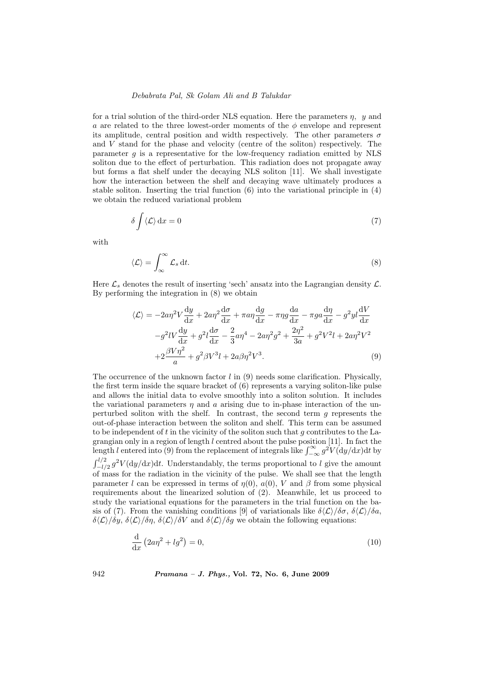for a trial solution of the third-order NLS equation. Here the parameters  $\eta$ ,  $\eta$  and a are related to the three lowest-order moments of the  $\phi$  envelope and represent its amplitude, central position and width respectively. The other parameters  $\sigma$ and V stand for the phase and velocity (centre of the soliton) respectively. The parameter  $g$  is a representative for the low-frequency radiation emitted by NLS soliton due to the effect of perturbation. This radiation does not propagate away but forms a flat shelf under the decaying NLS soliton [11]. We shall investigate how the interaction between the shelf and decaying wave ultimately produces a stable soliton. Inserting the trial function (6) into the variational principle in (4) we obtain the reduced variational problem

$$
\delta \int \langle \mathcal{L} \rangle \, \mathrm{d}x = 0 \tag{7}
$$

with

$$
\langle \mathcal{L} \rangle = \int_{\infty}^{\infty} \mathcal{L}_s \, \mathrm{d}t. \tag{8}
$$

Here  $\mathcal{L}_s$  denotes the result of inserting 'sech' ansatz into the Lagrangian density  $\mathcal{L}$ . By performing the integration in (8) we obtain

$$
\langle \mathcal{L} \rangle = -2a\eta^2 V \frac{dy}{dx} + 2a\eta^2 \frac{d\sigma}{dx} + \pi a\eta \frac{dg}{dx} - \pi \eta g \frac{da}{dx} - \pi g a \frac{d\eta}{dx} - g^2 y l \frac{dV}{dx}
$$

$$
-g^2 l V \frac{dy}{dx} + g^2 l \frac{d\sigma}{dx} - \frac{2}{3} a\eta^4 - 2a\eta^2 g^2 + \frac{2\eta^2}{3a} + g^2 V^2 l + 2a\eta^2 V^2
$$

$$
+ 2\frac{\beta V \eta^2}{a} + g^2 \beta V^3 l + 2a\beta \eta^2 V^3. \tag{9}
$$

The occurrence of the unknown factor  $l$  in (9) needs some clarification. Physically, the first term inside the square bracket of (6) represents a varying soliton-like pulse and allows the initial data to evolve smoothly into a soliton solution. It includes the variational parameters  $\eta$  and  $\alpha$  arising due to in-phase interaction of the unperturbed soliton with the shelf. In contrast, the second term  $q$  represents the out-of-phase interaction between the soliton and shelf. This term can be assumed to be independent of t in the vicinity of the soliton such that q contributes to the Lagrangian only in a region of length l centred about the pulse position [11]. In fact the grangian only in a region of length *l* centred about the pulse position [11]. In fact the length *l* entered into (9) from the replacement of integrals like  $\int_{-\infty}^{\infty} g^2 V(\mathrm{d}y/\mathrm{d}x) \mathrm{d}t$  by  $\frac{c}{c^{l/2}}$  $\frac{d^{2}}{2}g^{2}V(\mathrm{d}y/\mathrm{d}x)\mathrm{d}t$ . Understandably, the terms proportional to l give the amount of mass for the radiation in the vicinity of the pulse. We shall see that the length parameter l can be expressed in terms of  $\eta(0)$ ,  $\alpha(0)$ , V and  $\beta$  from some physical requirements about the linearized solution of (2). Meanwhile, let us proceed to study the variational equations for the parameters in the trial function on the basis of (7). From the vanishing conditions [9] of variationals like  $\delta\langle\mathcal{L}\rangle/\delta\sigma$ ,  $\delta\langle\mathcal{L}\rangle/\delta a$ ,  $\delta\langle\mathcal{L}\rangle/\delta y$ ,  $\delta\langle\mathcal{L}\rangle/\delta\eta$ ,  $\delta\langle\mathcal{L}\rangle/\delta V$  and  $\delta\langle\mathcal{L}\rangle/\delta g$  we obtain the following equations:

$$
\frac{\mathrm{d}}{\mathrm{d}x} \left( 2a\eta^2 + l g^2 \right) = 0,\tag{10}
$$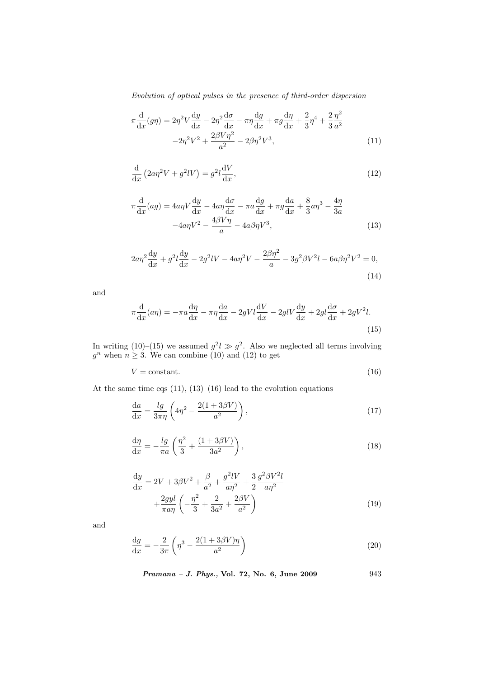Evolution of optical pulses in the presence of third-order dispersion

$$
\pi \frac{d}{dx}(g\eta) = 2\eta^2 V \frac{dy}{dx} - 2\eta^2 \frac{d\sigma}{dx} - \pi \eta \frac{dg}{dx} + \pi g \frac{d\eta}{dx} + \frac{2}{3} \eta^4 + \frac{2}{3} \frac{\eta^2}{a^2} -2\eta^2 V^2 + \frac{2\beta V \eta^2}{a^2} - 2\beta \eta^2 V^3,
$$
\n(11)

$$
\frac{\mathrm{d}}{\mathrm{d}x} \left( 2a\eta^2 V + g^2 lV \right) = g^2 l \frac{\mathrm{d}V}{\mathrm{d}x},\tag{12}
$$

$$
\pi \frac{d}{dx}(ag) = 4a\eta V \frac{dy}{dx} - 4a\eta \frac{d\sigma}{dx} - \pi a \frac{dg}{dx} + \pi g \frac{da}{dx} + \frac{8}{3}a\eta^3 - \frac{4\eta}{3a}
$$

$$
-4a\eta V^2 - \frac{4\beta V\eta}{a} - 4a\beta\eta V^3,
$$
(13)

$$
2a\eta^2 \frac{dy}{dx} + g^2 l \frac{dy}{dx} - 2g^2 lV - 4a\eta^2 V - \frac{2\beta\eta^2}{a} - 3g^2 \beta V^2 l - 6a\beta \eta^2 V^2 = 0,
$$
\n(14)

and

$$
\pi \frac{d}{dx}(a\eta) = -\pi a \frac{d\eta}{dx} - \pi \eta \frac{da}{dx} - 2gVl \frac{dV}{dx} - 2glV \frac{dy}{dx} + 2gl \frac{d\sigma}{dx} + 2gV^2l.
$$
\n(15)

In writing (10)–(15) we assumed  $g^2 l \gg g^2$ . Also we neglected all terms involving  $g^n$  when  $n \geq 3$ . We can combine (10) and (12) to get

$$
V = \text{constant.} \tag{16}
$$

At the same time eqs  $(11)$ ,  $(13)$ – $(16)$  lead to the evolution equations

$$
\frac{\mathrm{d}a}{\mathrm{d}x} = \frac{lg}{3\pi\eta} \left( 4\eta^2 - \frac{2(1+3\beta V)}{a^2} \right),\tag{17}
$$

$$
\frac{\mathrm{d}\eta}{\mathrm{d}x} = -\frac{lg}{\pi a} \left( \frac{\eta^2}{3} + \frac{(1+3\beta V)}{3a^2} \right),\tag{18}
$$

$$
\frac{dy}{dx} = 2V + 3\beta V^2 + \frac{\beta}{a^2} + \frac{g^2 lV}{a\eta^2} + \frac{3}{2} \frac{g^2 \beta V^2 l}{a\eta^2} + \frac{2gyl}{\pi a\eta} \left( -\frac{\eta^2}{3} + \frac{2}{3a^2} + \frac{2\beta V}{a^2} \right)
$$
\n(19)

and

$$
\frac{\mathrm{d}g}{\mathrm{d}x} = -\frac{2}{3\pi} \left( \eta^3 - \frac{2(1+3\beta V)\eta}{a^2} \right) \tag{20}
$$

Pramana – J. Phys., Vol. 72, No. 6, June 2009 943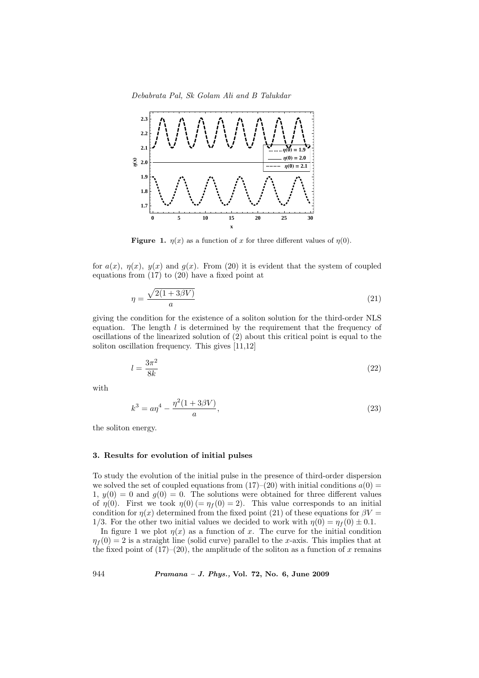

Figure 1.  $\eta(x)$  as a function of x for three different values of  $\eta(0)$ .

for  $a(x)$ ,  $\eta(x)$ ,  $y(x)$  and  $g(x)$ . From (20) it is evident that the system of coupled equations from (17) to (20) have a fixed point at

$$
\eta = \frac{\sqrt{2(1+3\beta V)}}{a} \tag{21}
$$

giving the condition for the existence of a soliton solution for the third-order NLS equation. The length  $l$  is determined by the requirement that the frequency of oscillations of the linearized solution of (2) about this critical point is equal to the soliton oscillation frequency. This gives [11,12]

$$
l = \frac{3\pi^2}{8k} \tag{22}
$$

with

$$
k^3 = a\eta^4 - \frac{\eta^2(1+3\beta V)}{a},
$$
\n(23)

the soliton energy.

# 3. Results for evolution of initial pulses

To study the evolution of the initial pulse in the presence of third-order dispersion we solved the set of coupled equations from  $(17)-(20)$  with initial conditions  $a(0)$  = 1,  $y(0) = 0$  and  $g(0) = 0$ . The solutions were obtained for three different values of  $\eta(0)$ . First we took  $\eta(0) = \eta_f(0) = 2$ . This value corresponds to an initial condition for  $\eta(x)$  determined from the fixed point (21) of these equations for  $\beta V =$ 1/3. For the other two initial values we decided to work with  $\eta(0) = \eta_f(0) \pm 0.1$ .

In figure 1 we plot  $\eta(x)$  as a function of x. The curve for the initial condition  $\eta_f(0) = 2$  is a straight line (solid curve) parallel to the x-axis. This implies that at the fixed point of  $(17)–(20)$ , the amplitude of the soliton as a function of x remains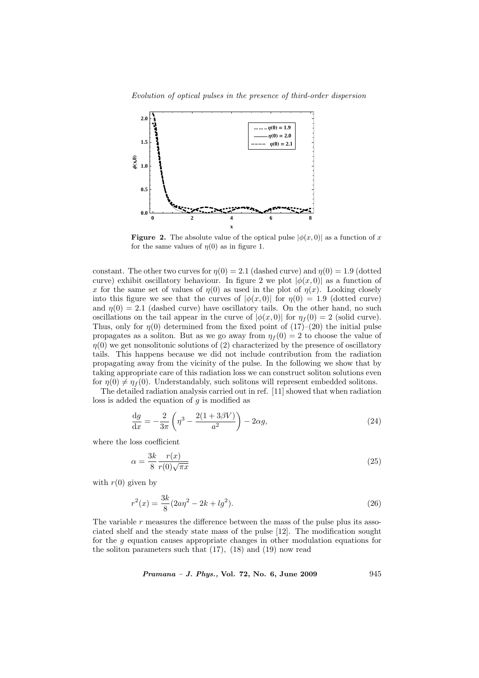Evolution of optical pulses in the presence of third-order dispersion



**Figure 2.** The absolute value of the optical pulse  $|\phi(x, 0)|$  as a function of x for the same values of  $\eta(0)$  as in figure 1.

constant. The other two curves for  $n(0) = 2.1$  (dashed curve) and  $n(0) = 1.9$  (dotted curve) exhibit oscillatory behaviour. In figure 2 we plot  $|\phi(x,0)|$  as a function of x for the same set of values of  $\eta(0)$  as used in the plot of  $\eta(x)$ . Looking closely into this figure we see that the curves of  $|\phi(x, 0)|$  for  $\eta(0) = 1.9$  (dotted curve) and  $\eta(0) = 2.1$  (dashed curve) have oscillatory tails. On the other hand, no such oscillations on the tail appear in the curve of  $|\phi(x, 0)|$  for  $\eta_f(0) = 2$  (solid curve). Thus, only for  $\eta(0)$  determined from the fixed point of  $(17)-(20)$  the initial pulse propagates as a soliton. But as we go away from  $\eta_f(0) = 2$  to choose the value of  $\eta(0)$  we get nonsolitonic solutions of (2) characterized by the presence of oscillatory tails. This happens because we did not include contribution from the radiation propagating away from the vicinity of the pulse. In the following we show that by taking appropriate care of this radiation loss we can construct soliton solutions even for  $\eta(0) \neq \eta_f(0)$ . Understandably, such solitons will represent embedded solitons.

The detailed radiation analysis carried out in ref. [11] showed that when radiation loss is added the equation of  $g$  is modified as

$$
\frac{\mathrm{d}g}{\mathrm{d}x} = -\frac{2}{3\pi} \left( \eta^3 - \frac{2(1+3\beta V)}{a^2} \right) - 2\alpha g,\tag{24}
$$

where the loss coefficient

$$
\alpha = \frac{3k}{8} \frac{r(x)}{r(0)\sqrt{\pi x}}\tag{25}
$$

with  $r(0)$  given by

$$
r^{2}(x) = \frac{3k}{8}(2a\eta^{2} - 2k + lg^{2}).
$$
\n(26)

The variable  $r$  measures the difference between the mass of the pulse plus its associated shelf and the steady state mass of the pulse [12]. The modification sought for the g equation causes appropriate changes in other modulation equations for the soliton parameters such that (17), (18) and (19) now read

Pramana – J. Phys., Vol. 72, No. 6, June 2009 945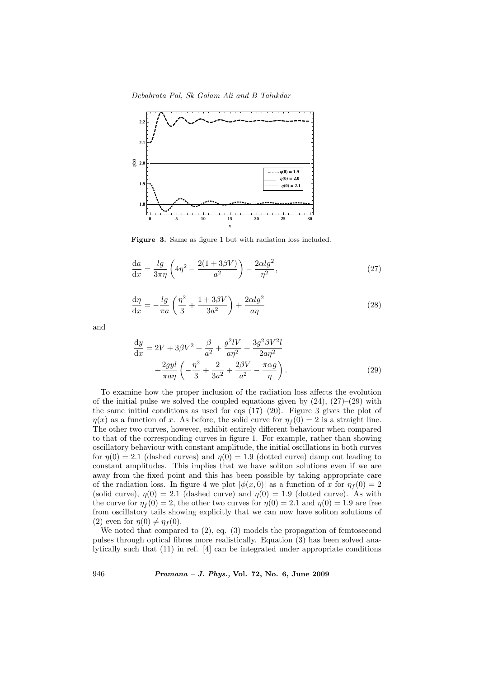Debabrata Pal, Sk Golam Ali and B Talukdar



Figure 3. Same as figure 1 but with radiation loss included.

$$
\frac{da}{dx} = \frac{lg}{3\pi\eta} \left( 4\eta^2 - \frac{2(1+3\beta V)}{a^2} \right) - \frac{2\alpha l g^2}{\eta^2},\tag{27}
$$

$$
\frac{\mathrm{d}\eta}{\mathrm{d}x} = -\frac{lg}{\pi a} \left( \frac{\eta^2}{3} + \frac{1 + 3\beta V}{3a^2} \right) + \frac{2\alpha lg^2}{a\eta} \tag{28}
$$

and

$$
\frac{dy}{dx} = 2V + 3\beta V^2 + \frac{\beta}{a^2} + \frac{g^2 lV}{a\eta^2} + \frac{3g^2 \beta V^2 l}{2a\eta^2} + \frac{2gyl}{\pi a\eta} \left( -\frac{\eta^2}{3} + \frac{2}{3a^2} + \frac{2\beta V}{a^2} - \frac{\pi \alpha g}{\eta} \right).
$$
\n(29)

To examine how the proper inclusion of the radiation loss affects the evolution of the initial pulse we solved the coupled equations given by  $(24)$ ,  $(27)-(29)$  with the same initial conditions as used for eqs  $(17)-(20)$ . Figure 3 gives the plot of  $\eta(x)$  as a function of x. As before, the solid curve for  $\eta_f(0) = 2$  is a straight line. The other two curves, however, exhibit entirely different behaviour when compared to that of the corresponding curves in figure 1. For example, rather than showing oscillatory behaviour with constant amplitude, the initial oscillations in both curves for  $\eta(0) = 2.1$  (dashed curves) and  $\eta(0) = 1.9$  (dotted curve) damp out leading to constant amplitudes. This implies that we have soliton solutions even if we are away from the fixed point and this has been possible by taking appropriate care of the radiation loss. In figure 4 we plot  $|\phi(x, 0)|$  as a function of x for  $\eta_f(0) = 2$ (solid curve),  $\eta(0) = 2.1$  (dashed curve) and  $\eta(0) = 1.9$  (dotted curve). As with the curve for  $\eta_f(0) = 2$ , the other two curves for  $\eta(0) = 2.1$  and  $\eta(0) = 1.9$  are free from oscillatory tails showing explicitly that we can now have soliton solutions of (2) even for  $\eta(0) \neq \eta_f(0)$ .

We noted that compared to (2), eq. (3) models the propagation of femtosecond pulses through optical fibres more realistically. Equation (3) has been solved analytically such that (11) in ref. [4] can be integrated under appropriate conditions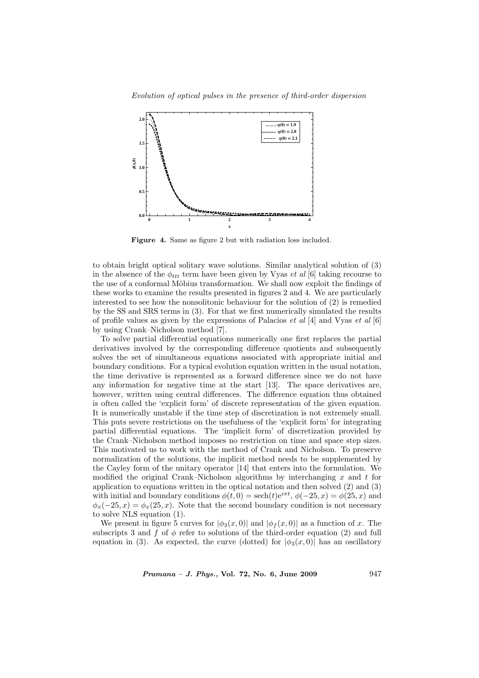Evolution of optical pulses in the presence of third-order dispersion



Figure 4. Same as figure 2 but with radiation loss included.

to obtain bright optical solitary wave solutions. Similar analytical solution of (3) in the absence of the  $\phi_{ttt}$  term have been given by Vyas *et al* [6] taking recourse to the use of a conformal Möbius transformation. We shall now exploit the findings of these works to examine the results presented in figures 2 and 4. We are particularly interested to see how the nonsolitonic behaviour for the solution of (2) is remedied by the SS and SRS terms in (3). For that we first numerically simulated the results of profile values as given by the expressions of Palacios *et al* [4] and Vyas *et al* [6] by using Crank–Nicholson method [7].

To solve partial differential equations numerically one first replaces the partial derivatives involved by the corresponding difference quotients and subsequently solves the set of simultaneous equations associated with appropriate initial and boundary conditions. For a typical evolution equation written in the usual notation, the time derivative is represented as a forward difference since we do not have any information for negative time at the start [13]. The space derivatives are, however, written using central differences. The difference equation thus obtained is often called the 'explicit form' of discrete representation of the given equation. It is numerically unstable if the time step of discretization is not extremely small. This puts severe restrictions on the usefulness of the 'explicit form' for integrating partial differential equations. The 'implicit form' of discretization provided by the Crank–Nicholson method imposes no restriction on time and space step sizes. This motivated us to work with the method of Crank and Nicholson. To preserve normalization of the solutions, the implicit method needs to be supplemented by the Cayley form of the unitary operator [14] that enters into the formulation. We modified the original Crank–Nicholson algorithms by interchanging  $x$  and  $t$  for application to equations written in the optical notation and then solved (2) and (3) with initial and boundary conditions  $\phi(t,0) = \operatorname{sech}(t)e^{i\pi t}, \phi(-25,x) = \phi(25,x)$  and  $\phi_x(-25, x) = \phi_x(25, x)$ . Note that the second boundary condition is not necessary to solve NLS equation (1).

We present in figure 5 curves for  $|\phi_3(x, 0)|$  and  $|\phi_f(x, 0)|$  as a function of x. The subscripts 3 and f of  $\phi$  refer to solutions of the third-order equation (2) and full equation in (3). As expected, the curve (dotted) for  $|\phi_3(x, 0)|$  has an oscillatory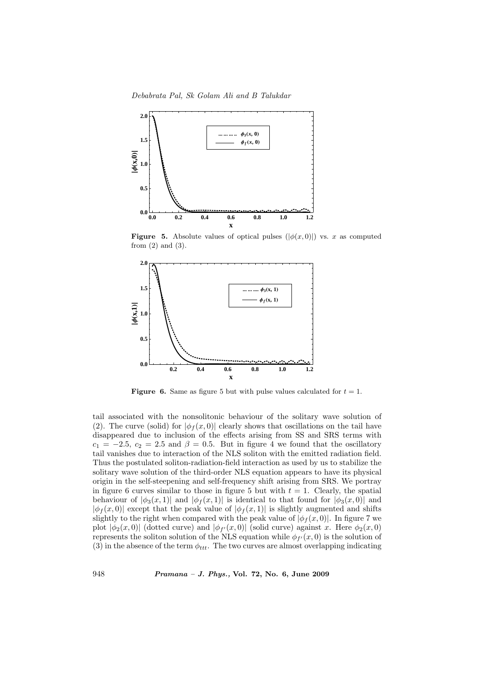Debabrata Pal, Sk Golam Ali and B Talukdar



**Figure 5.** Absolute values of optical pulses  $(|\phi(x, 0)|)$  vs. x as computed from  $(2)$  and  $(3)$ .



**Figure 6.** Same as figure 5 but with pulse values calculated for  $t = 1$ .

tail associated with the nonsolitonic behaviour of the solitary wave solution of (2). The curve (solid) for  $|\phi_f(x,0)|$  clearly shows that oscillations on the tail have disappeared due to inclusion of the effects arising from SS and SRS terms with  $c_1 = -2.5, c_2 = 2.5$  and  $\beta = 0.5$ . But in figure 4 we found that the oscillatory tail vanishes due to interaction of the NLS soliton with the emitted radiation field. Thus the postulated soliton-radiation-field interaction as used by us to stabilize the solitary wave solution of the third-order NLS equation appears to have its physical origin in the self-steepening and self-frequency shift arising from SRS. We portray in figure 6 curves similar to those in figure 5 but with  $t = 1$ . Clearly, the spatial behaviour of  $|\phi_3(x, 1)|$  and  $|\phi_f(x, 1)|$  is identical to that found for  $|\phi_3(x, 0)|$  and  $|\phi_f(x,0)|$  except that the peak value of  $|\phi_f(x,1)|$  is slightly augmented and shifts slightly to the right when compared with the peak value of  $|\phi_f(x, 0)|$ . In figure 7 we plot  $|\phi_2(x,0)|$  (dotted curve) and  $|\phi_{f'}(x,0)|$  (solid curve) against x. Here  $\phi_2(x,0)$ represents the soliton solution of the NLS equation while  $\phi_{f'}(x,0)$  is the solution of (3) in the absence of the term  $\phi_{ttt}$ . The two curves are almost overlapping indicating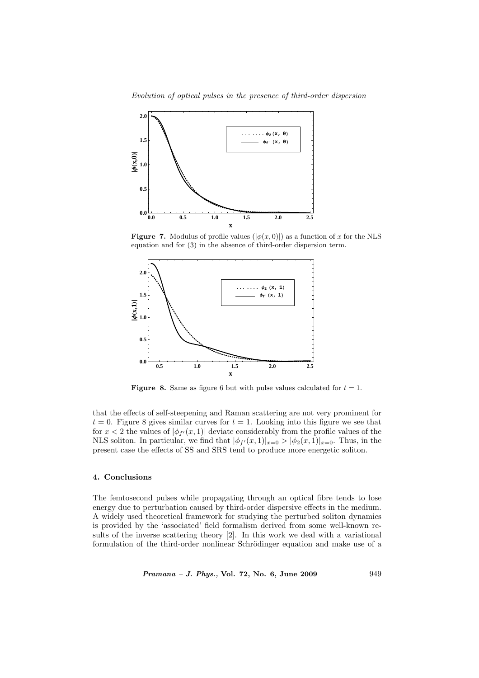Evolution of optical pulses in the presence of third-order dispersion



**Figure 7.** Modulus of profile values  $(|\phi(x, 0)|)$  as a function of x for the NLS equation and for (3) in the absence of third-order dispersion term.



**Figure 8.** Same as figure 6 but with pulse values calculated for  $t = 1$ .

that the effects of self-steepening and Raman scattering are not very prominent for  $t = 0$ . Figure 8 gives similar curves for  $t = 1$ . Looking into this figure we see that for  $x < 2$  the values of  $|\phi_{f'}(x,1)|$  deviate considerably from the profile values of the NLS soliton. In particular, we find that  $|\phi_{f'}(x,1)|_{x=0} > |\phi_2(x,1)|_{x=0}$ . Thus, in the present case the effects of SS and SRS tend to produce more energetic soliton.

## 4. Conclusions

The femtosecond pulses while propagating through an optical fibre tends to lose energy due to perturbation caused by third-order dispersive effects in the medium. A widely used theoretical framework for studying the perturbed soliton dynamics is provided by the 'associated' field formalism derived from some well-known results of the inverse scattering theory [2]. In this work we deal with a variational formulation of the third-order nonlinear Schrödinger equation and make use of a